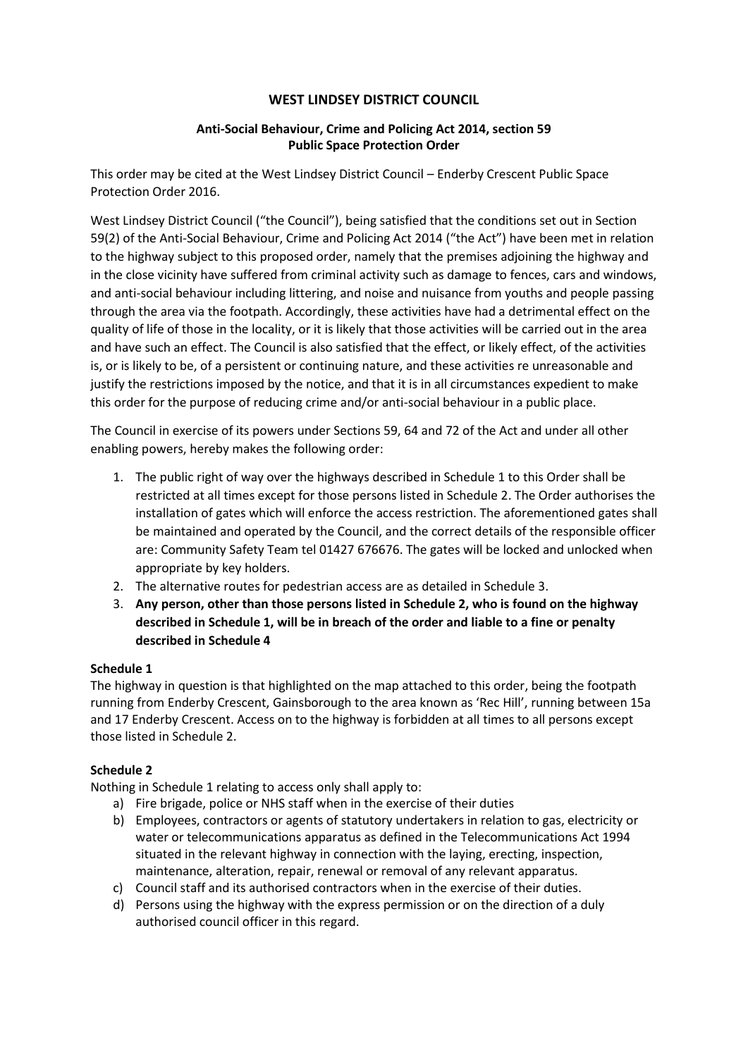### **WEST LINDSEY DISTRICT COUNCIL**

### **Anti-Social Behaviour, Crime and Policing Act 2014, section 59 Public Space Protection Order**

This order may be cited at the West Lindsey District Council – Enderby Crescent Public Space Protection Order 2016.

West Lindsey District Council ("the Council"), being satisfied that the conditions set out in Section 59(2) of the Anti-Social Behaviour, Crime and Policing Act 2014 ("the Act") have been met in relation to the highway subject to this proposed order, namely that the premises adjoining the highway and in the close vicinity have suffered from criminal activity such as damage to fences, cars and windows, and anti-social behaviour including littering, and noise and nuisance from youths and people passing through the area via the footpath. Accordingly, these activities have had a detrimental effect on the quality of life of those in the locality, or it is likely that those activities will be carried out in the area and have such an effect. The Council is also satisfied that the effect, or likely effect, of the activities is, or is likely to be, of a persistent or continuing nature, and these activities re unreasonable and justify the restrictions imposed by the notice, and that it is in all circumstances expedient to make this order for the purpose of reducing crime and/or anti-social behaviour in a public place.

The Council in exercise of its powers under Sections 59, 64 and 72 of the Act and under all other enabling powers, hereby makes the following order:

- 1. The public right of way over the highways described in Schedule 1 to this Order shall be restricted at all times except for those persons listed in Schedule 2. The Order authorises the installation of gates which will enforce the access restriction. The aforementioned gates shall be maintained and operated by the Council, and the correct details of the responsible officer are: Community Safety Team tel 01427 676676. The gates will be locked and unlocked when appropriate by key holders.
- 2. The alternative routes for pedestrian access are as detailed in Schedule 3.
- 3. **Any person, other than those persons listed in Schedule 2, who is found on the highway described in Schedule 1, will be in breach of the order and liable to a fine or penalty described in Schedule 4**

# **Schedule 1**

The highway in question is that highlighted on the map attached to this order, being the footpath running from Enderby Crescent, Gainsborough to the area known as 'Rec Hill', running between 15a and 17 Enderby Crescent. Access on to the highway is forbidden at all times to all persons except those listed in Schedule 2.

# **Schedule 2**

Nothing in Schedule 1 relating to access only shall apply to:

- a) Fire brigade, police or NHS staff when in the exercise of their duties
- b) Employees, contractors or agents of statutory undertakers in relation to gas, electricity or water or telecommunications apparatus as defined in the Telecommunications Act 1994 situated in the relevant highway in connection with the laying, erecting, inspection, maintenance, alteration, repair, renewal or removal of any relevant apparatus.
- c) Council staff and its authorised contractors when in the exercise of their duties.
- d) Persons using the highway with the express permission or on the direction of a duly authorised council officer in this regard.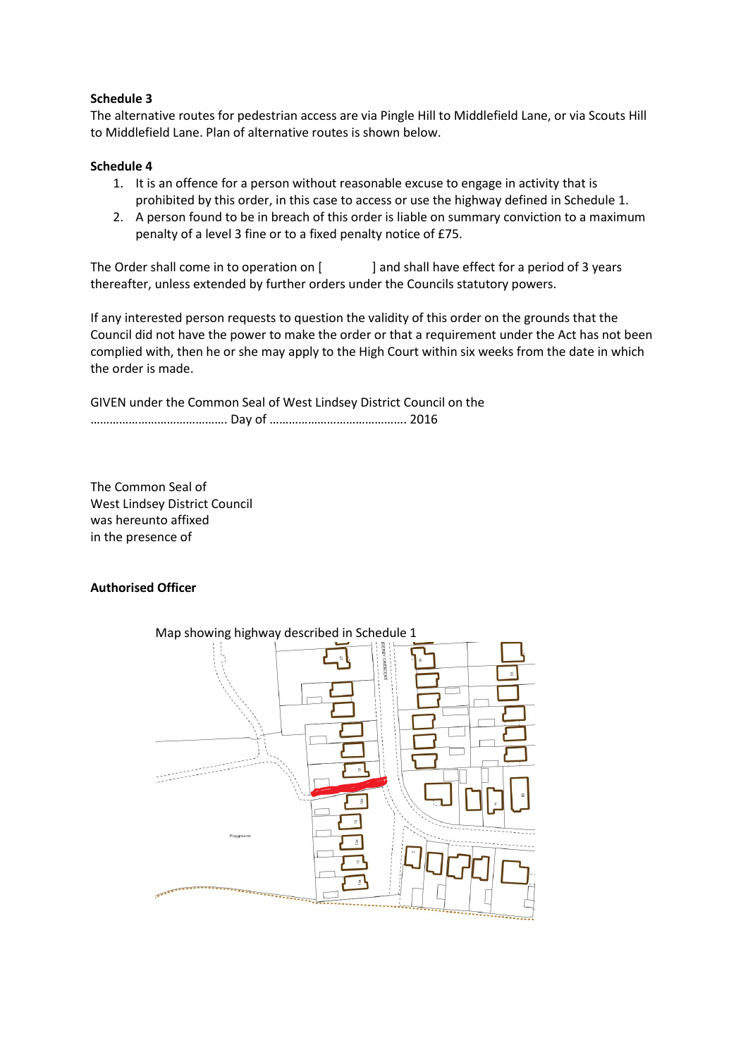### **Schedule 3**

The alternative routes for pedestrian access are via Pingle Hill to Middlefield Lane, or via Scouts Hill to Middlefield Lane. Plan of alternative routes is shown below.

#### **Schedule 4**

- 1. It is an offence for a person without reasonable excuse to engage in activity that is prohibited by this order, in this case to access or use the highway defined in Schedule 1.
- 2. A person found to be in breach of this order is liable on summary conviction to a maximum penalty of a level 3 fine or to a fixed penalty notice of £75.

The Order shall come in to operation on [ ] and shall have effect for a period of 3 years thereafter, unless extended by further orders under the Councils statutory powers.

If any interested person requests to question the validity of this order on the grounds that the Council did not have the power to make the order or that a requirement under the Act has not been complied with, then he or she may apply to the High Court within six weeks from the date in which the order is made.

GIVEN under the Common Seal of West Lindsey District Council on the ……………………………………. Day of ……………………………………. 2016

The Common Seal of West Lindsey District Council was hereunto affixed in the presence of

# **Authorised Officer**